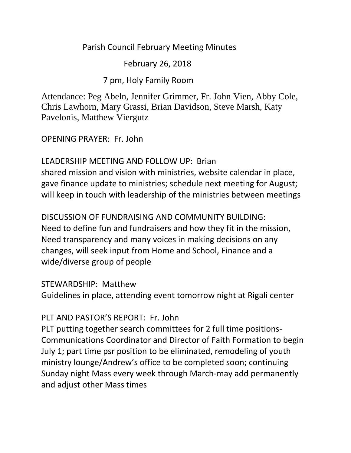## Parish Council February Meeting Minutes

February 26, 2018

7 pm, Holy Family Room

Attendance: Peg Abeln, Jennifer Grimmer, Fr. John Vien, Abby Cole, Chris Lawhorn, Mary Grassi, Brian Davidson, Steve Marsh, Katy Pavelonis, Matthew Viergutz

OPENING PRAYER: Fr. John

LEADERSHIP MEETING AND FOLLOW UP: Brian shared mission and vision with ministries, website calendar in place, gave finance update to ministries; schedule next meeting for August; will keep in touch with leadership of the ministries between meetings

DISCUSSION OF FUNDRAISING AND COMMUNITY BUILDING: Need to define fun and fundraisers and how they fit in the mission, Need transparency and many voices in making decisions on any changes, will seek input from Home and School, Finance and a wide/diverse group of people

STEWARDSHIP: Matthew

Guidelines in place, attending event tomorrow night at Rigali center

## PLT AND PASTOR'S REPORT: Fr. John

PLT putting together search committees for 2 full time positions-Communications Coordinator and Director of Faith Formation to begin July 1; part time psr position to be eliminated, remodeling of youth ministry lounge/Andrew's office to be completed soon; continuing Sunday night Mass every week through March-may add permanently and adjust other Mass times